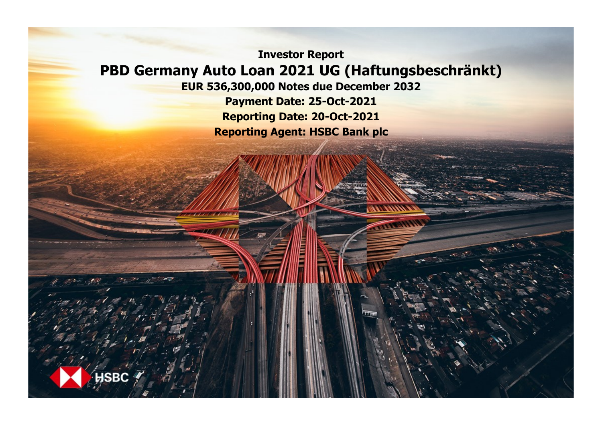**Investor Report PBD Germany Auto Loan 2021 UG (Haftungsbeschränkt)**

**EUR 536,300,000 Notes due December 2032**

**Payment Date: 25-Oct-2021 Reporting Date: 20-Oct-2021 Reporting Agent: HSBC Bank plc**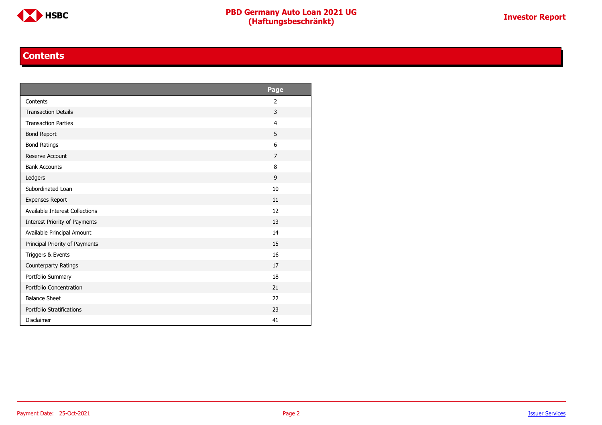

#### **Contents**

<span id="page-1-0"></span>

|                                | Page           |
|--------------------------------|----------------|
| Contents                       | 2              |
| <b>Transaction Details</b>     | 3              |
| <b>Transaction Parties</b>     | $\overline{4}$ |
| <b>Bond Report</b>             | 5              |
| <b>Bond Ratings</b>            | 6              |
| Reserve Account                | $\overline{7}$ |
| <b>Bank Accounts</b>           | 8              |
| Ledgers                        | 9              |
| Subordinated Loan              | 10             |
| <b>Expenses Report</b>         | 11             |
| Available Interest Collections | 12             |
| Interest Priority of Payments  | 13             |
| Available Principal Amount     | 14             |
| Principal Priority of Payments | 15             |
| Triggers & Events              | 16             |
| Counterparty Ratings           | 17             |
| Portfolio Summary              | 18             |
| Portfolio Concentration        | 21             |
| <b>Balance Sheet</b>           | 22             |
| Portfolio Stratifications      | 23             |
| <b>Disclaimer</b>              | 41             |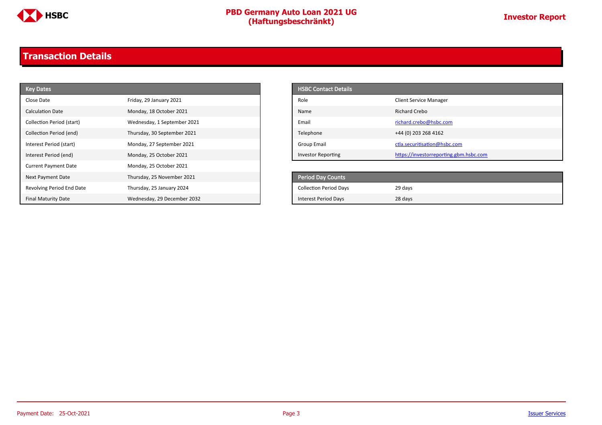

### <span id="page-2-0"></span>**Transaction Details**

| <b>Key Dates</b>            |                             | <b>HSBC Contact Details</b>   |                                        |
|-----------------------------|-----------------------------|-------------------------------|----------------------------------------|
| Close Date                  | Friday, 29 January 2021     | Role                          | <b>Client Service Manager</b>          |
| Calculation Date            | Monday, 18 October 2021     | Name                          | <b>Richard Crebo</b>                   |
| Collection Period (start)   | Wednesday, 1 September 2021 | Email                         | richard.crebo@hsbc.com                 |
| Collection Period (end)     | Thursday, 30 September 2021 | Telephone                     | +44 (0) 203 268 4162                   |
| Interest Period (start)     | Monday, 27 September 2021   | Group Email                   | ctla.securitisation@hsbc.com           |
| Interest Period (end)       | Monday, 25 October 2021     | <b>Investor Reporting</b>     | https://investorreporting.gbm.hsbc.com |
| <b>Current Payment Date</b> | Monday, 25 October 2021     |                               |                                        |
| Next Payment Date           | Thursday, 25 November 2021  | Period Day Counts             |                                        |
| Revolving Period End Date   | Thursday, 25 January 2024   | <b>Collection Period Days</b> | 29 days                                |
| <b>Final Maturity Date</b>  | Wednesday, 29 December 2032 | <b>Interest Period Days</b>   | 28 days                                |

| <b>HSBC Contact Details</b> |                                        |
|-----------------------------|----------------------------------------|
| Role                        | <b>Client Service Manager</b>          |
| Name                        | Richard Crebo                          |
| Email                       | richard.crebo@hsbc.com                 |
| Telephone                   | +44 (0) 203 268 4162                   |
| Group Email                 | ctla.securitisation@hsbc.com           |
| <b>Investor Reporting</b>   | https://investorreporting.gbm.hsbc.com |

| <b>Period Day Counts</b>      |         |
|-------------------------------|---------|
| <b>Collection Period Days</b> | 29 days |
| <b>Interest Period Days</b>   | 28 days |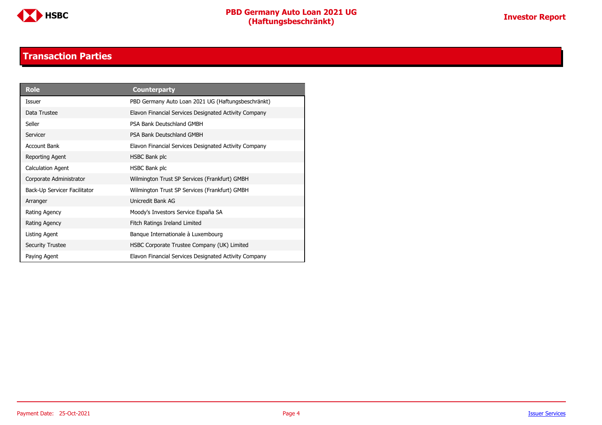

#### **Transaction Parties**

<span id="page-3-0"></span>

| <b>Role</b>                  | <b>Counterparty</b>                                   |
|------------------------------|-------------------------------------------------------|
| Issuer                       | PBD Germany Auto Loan 2021 UG (Haftungsbeschränkt)    |
| Data Trustee                 | Elavon Financial Services Designated Activity Company |
| Seller                       | PSA Bank Deutschland GMBH                             |
| Servicer                     | PSA Bank Deutschland GMBH                             |
| <b>Account Bank</b>          | Elavon Financial Services Designated Activity Company |
| Reporting Agent              | HSBC Bank plc                                         |
| <b>Calculation Agent</b>     | HSBC Bank plc                                         |
| Corporate Administrator      | Wilmington Trust SP Services (Frankfurt) GMBH         |
| Back-Up Servicer Facilitator | Wilmington Trust SP Services (Frankfurt) GMBH         |
| Arranger                     | Unicredit Bank AG                                     |
| Rating Agency                | Moody's Investors Service España SA                   |
| Rating Agency                | Fitch Ratings Ireland Limited                         |
| Listing Agent                | Banque Internationale à Luxembourg                    |
| <b>Security Trustee</b>      | HSBC Corporate Trustee Company (UK) Limited           |
| Paying Agent                 | Elavon Financial Services Designated Activity Company |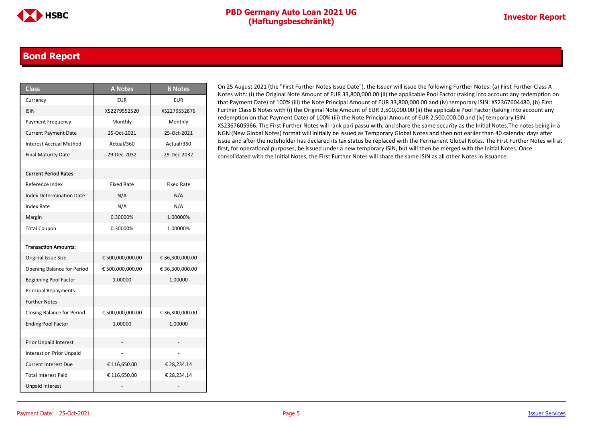#### <span id="page-4-0"></span>**Bond Report**

| <b>Class</b>                      | <b>A Notes</b>    | <b>B</b> Notes    |
|-----------------------------------|-------------------|-------------------|
| Currency                          | <b>EUR</b>        | <b>EUR</b>        |
| <b>ISIN</b>                       | XS2279552520      | XS2279552876      |
| <b>Payment Frequency</b>          | Monthly           | Monthly           |
| <b>Current Payment Date</b>       | 25-Oct-2021       | 25-Oct-2021       |
| <b>Interest Accrual Method</b>    | Actual/360        | Actual/360        |
| <b>Final Maturity Date</b>        | 29-Dec-2032       | 29-Dec-2032       |
|                                   |                   |                   |
| <b>Current Period Rates:</b>      |                   |                   |
| Reference Index                   | <b>Fixed Rate</b> | <b>Fixed Rate</b> |
| <b>Index Determination Date</b>   | N/A               | N/A               |
| <b>Index Rate</b>                 | N/A               | N/A               |
| Margin                            | 0.30000%          | 1.00000%          |
| <b>Total Coupon</b>               | 0.30000%          | 1.00000%          |
|                                   |                   |                   |
| <b>Transaction Amounts:</b>       |                   |                   |
| Original Issue Size               | € 500,000,000.00  | € 36,300,000.00   |
| <b>Opening Balance for Period</b> | € 500,000,000.00  | € 36,300,000.00   |
| <b>Beginning Pool Factor</b>      | 1.00000           | 1.00000           |
| <b>Principal Repayments</b>       |                   |                   |
| <b>Further Notes</b>              |                   |                   |
| Closing Balance for Period        | € 500,000,000.00  | € 36,300,000.00   |
| <b>Ending Pool Factor</b>         | 1.00000           | 1.00000           |
|                                   |                   |                   |
| Prior Unpaid Interest             |                   |                   |
| Interest on Prior Unpaid          |                   |                   |
| <b>Current Interest Due</b>       | € 116,650.00      | € 28,234.14       |
| <b>Total Interest Paid</b>        | € 116,650.00      | € 28,234.14       |
| <b>Unpaid Interest</b>            |                   |                   |

On 25 August 2021 (the "First Further Notes Issue Date"), the Issuer will issue the following Further Notes: (a) First Further Class A Notes with: (i) the Original Note Amount of EUR 33,800,000.00 (ii) the applicable Pool Factor (taking into account any redemption on that Payment Date) of 100% (iii) the Note Principal Amount of EUR 33,800,000.00 and (iv) temporary ISIN: XS2367604480, (b) First Further Class B Notes with (i) the Original Note Amount of EUR 2,500,000.00 (ii) the applicable Pool Factor (taking into account any redemption on that Payment Date) of 100% (iii) the Note Principal Amount of EUR 2,500,000.00 and (iv) temporary ISIN: XS2367605966. The First Further Notes will rank pari passu with, and share the same security as the Initial Notes.The notes being in a NGN (New Global Notes) format will initially be issued as Temporary Global Notes and then not earlier than 40 calendar days after issue and after the noteholder has declared its tax status be replaced with the Permanent Global Notes. The First Further Notes will at first, for operational purposes, be issued under a new temporary ISIN, but will then be merged with the Initial Notes. Once consolidated with the Initial Notes, the First Further Notes will share the same ISIN as all other Notes in issuance.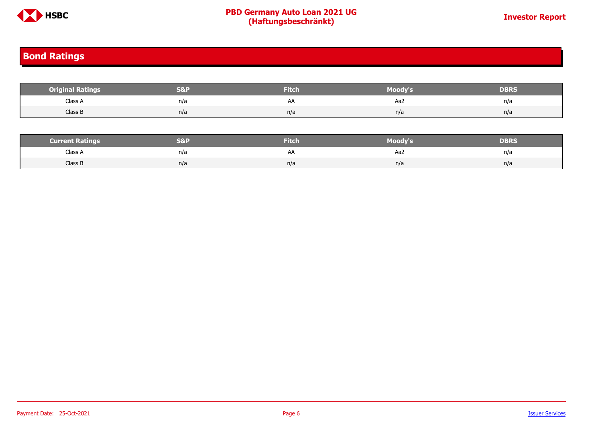

### <span id="page-5-0"></span>**Bond Ratings**

| <b>Original Ratings</b> | <b>S&amp;I</b> | <b>Fitch</b> | Moody's | <b>DBRS</b> |
|-------------------------|----------------|--------------|---------|-------------|
| Class A                 | n/a            | AA           | Aa2     | n/a         |
| Class B                 | n/a            | n/a          | n/a     | n/a         |
|                         |                |              |         |             |

| <b>Current Ratings</b> |     | <b>Fitch</b> | Moody's | DBRS |
|------------------------|-----|--------------|---------|------|
| Class A                | n/a | AΑ           | Aa2     | n/a  |
| Class B                | n/a | n/a          | n/a     | n/a  |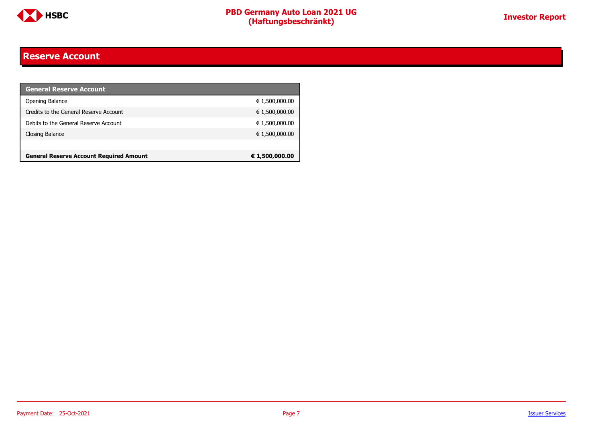

#### <span id="page-6-0"></span>**Reserve Account**

| <b>General Reserve Account</b>                 |                |
|------------------------------------------------|----------------|
| Opening Balance                                | € 1,500,000.00 |
| Credits to the General Reserve Account         | € 1,500,000.00 |
| Debits to the General Reserve Account          | € 1,500,000.00 |
| Closing Balance                                | € 1,500,000.00 |
|                                                |                |
| <b>General Reserve Account Required Amount</b> | € 1,500,000.00 |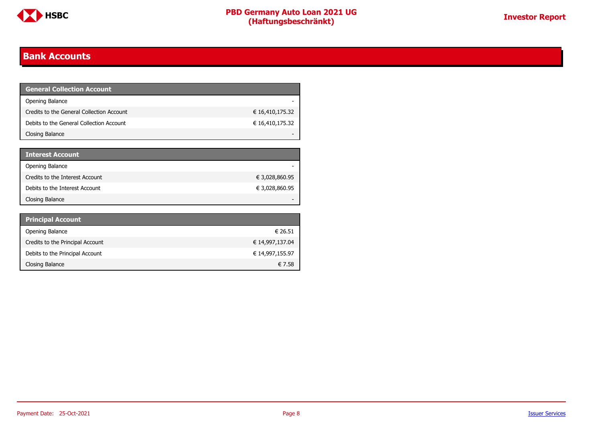

### <span id="page-7-0"></span>**Bank Accounts**

| <b>General Collection Account</b>         |                 |
|-------------------------------------------|-----------------|
| Opening Balance                           |                 |
| Credits to the General Collection Account | € 16,410,175.32 |
| Debits to the General Collection Account  | € 16,410,175.32 |
| Closing Balance                           |                 |

| <b>Interest Account</b>         |                |
|---------------------------------|----------------|
| Opening Balance                 |                |
| Credits to the Interest Account | € 3,028,860.95 |
| Debits to the Interest Account  | € 3,028,860.95 |
| Closing Balance                 |                |

| <b>Principal Account</b>         |                 |
|----------------------------------|-----------------|
| Opening Balance                  | € 26.51         |
| Credits to the Principal Account | € 14,997,137.04 |
| Debits to the Principal Account  | € 14,997,155.97 |
| Closing Balance                  | € 7.58          |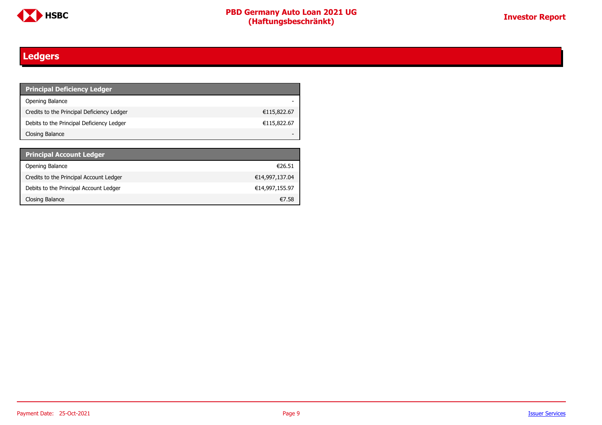

### <span id="page-8-0"></span>**Ledgers**

| <b>Principal Deficiency Ledger</b>         |             |
|--------------------------------------------|-------------|
| Opening Balance                            |             |
| Credits to the Principal Deficiency Ledger | €115,822.67 |
| Debits to the Principal Deficiency Ledger  | €115,822.67 |
| Closing Balance                            |             |

| <b>Principal Account Ledger</b>         |                |
|-----------------------------------------|----------------|
| Opening Balance                         | €26.51         |
| Credits to the Principal Account Ledger | €14,997,137.04 |
| Debits to the Principal Account Ledger  | €14,997,155.97 |
| Closing Balance                         | €7.58          |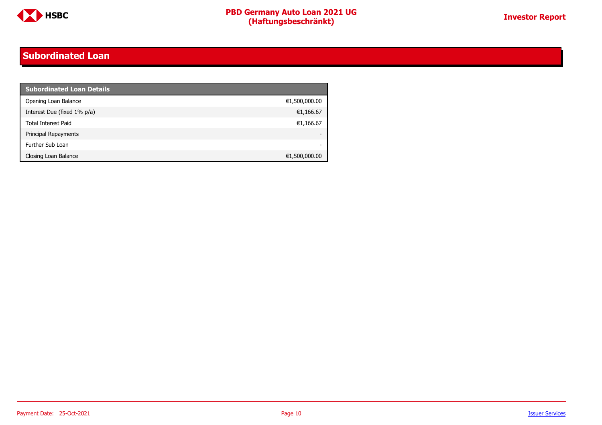

### <span id="page-9-0"></span>**Subordinated Loan**

| <b>Subordinated Loan Details</b> |               |
|----------------------------------|---------------|
| Opening Loan Balance             | €1,500,000.00 |
| Interest Due (fixed 1% p/a)      | €1,166.67     |
| <b>Total Interest Paid</b>       | €1,166.67     |
| Principal Repayments             |               |
| Further Sub Loan                 | -             |
| Closing Loan Balance             | €1,500,000.00 |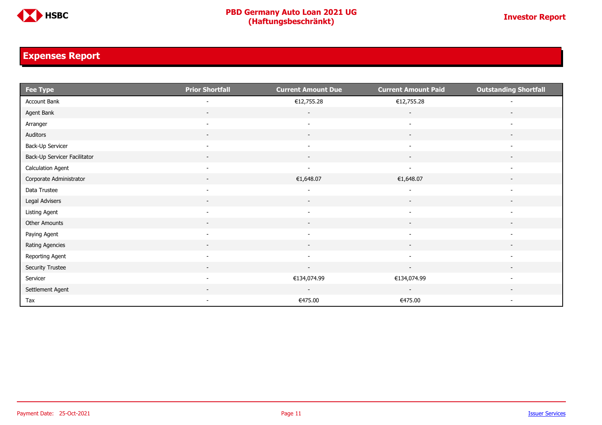

### <span id="page-10-0"></span>**Expenses Report**

| $Fee$ Type                   | <b>Prior Shortfall</b>   | <b>Current Amount Due</b> | <b>Current Amount Paid</b> | <b>Outstanding Shortfall</b> |
|------------------------------|--------------------------|---------------------------|----------------------------|------------------------------|
| Account Bank                 |                          | €12,755.28                | €12,755.28                 |                              |
| Agent Bank                   | $\overline{\phantom{0}}$ | $\overline{\phantom{a}}$  | $\overline{\phantom{a}}$   |                              |
| Arranger                     | $\overline{\phantom{0}}$ | $\overline{\phantom{a}}$  | $\overline{\phantom{a}}$   |                              |
| Auditors                     | $\overline{\phantom{a}}$ | $\overline{\phantom{a}}$  | $\overline{\phantom{a}}$   |                              |
| Back-Up Servicer             | $\overline{\phantom{a}}$ | $\overline{\phantom{a}}$  | $\overline{\phantom{a}}$   | $\overline{\phantom{a}}$     |
| Back-Up Servicer Facilitator | $\sim$                   | $\sim$                    | $\sim$                     | $\overline{\phantom{a}}$     |
| <b>Calculation Agent</b>     | $\overline{\phantom{a}}$ | $\overline{\phantom{a}}$  | $\blacksquare$             | $\overline{\phantom{a}}$     |
| Corporate Administrator      |                          | €1,648.07                 | €1,648.07                  |                              |
| Data Trustee                 | $\overline{\phantom{a}}$ |                           |                            | $\overline{\phantom{a}}$     |
| Legal Advisers               | $\sim$                   | $\sim$                    | $\overline{\phantom{a}}$   | $\overline{\phantom{a}}$     |
| Listing Agent                | $\overline{\phantom{a}}$ |                           |                            |                              |
| Other Amounts                |                          |                           |                            |                              |
| Paying Agent                 | $\overline{\phantom{0}}$ | $\overline{\phantom{a}}$  | $\overline{\phantom{a}}$   | $\overline{\phantom{a}}$     |
| Rating Agencies              | $\sim$                   | $\sim$                    | $\overline{\phantom{a}}$   | $\overline{\phantom{a}}$     |
| Reporting Agent              | $\overline{\phantom{a}}$ | $\sim$                    | $\sim$                     | $\overline{\phantom{a}}$     |
| Security Trustee             | $\sim$                   | $\sim$                    | $\sim$                     | $\sim$                       |
| Servicer                     | $\overline{\phantom{a}}$ | €134,074.99               | €134,074.99                |                              |
| Settlement Agent             |                          |                           |                            |                              |
| Tax                          | $\overline{\phantom{a}}$ | €475.00                   | €475.00                    | $\overline{\phantom{a}}$     |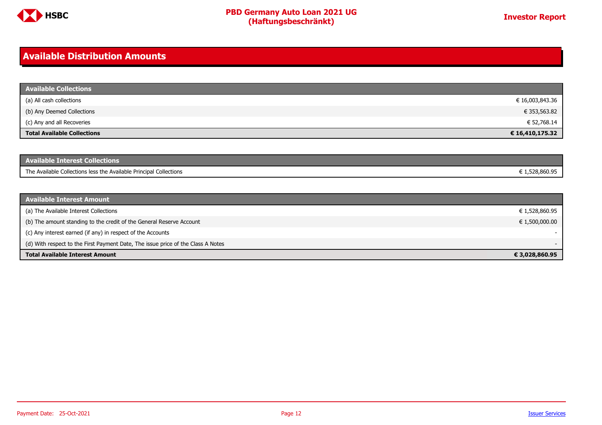

### <span id="page-11-0"></span>**Available Distribution Amounts**

| <b>Available Collections</b>       |                 |
|------------------------------------|-----------------|
| (a) All cash collections           | € 16,003,843.36 |
| (b) Any Deemed Collections         | € 353,563.82    |
| (c) Any and all Recoveries         | € 52,768.14     |
| <b>Total Available Collections</b> | € 16,410,175.32 |

| <b>Available Interest Collections</b>                              |              |
|--------------------------------------------------------------------|--------------|
| The Available Collections less the Available Principal Collections | 1.528.860.95 |

| <b>Available Interest Amount</b>                                                 |                |
|----------------------------------------------------------------------------------|----------------|
| (a) The Available Interest Collections                                           | € 1,528,860.95 |
| (b) The amount standing to the credit of the General Reserve Account             | € 1,500,000.00 |
| (c) Any interest earned (if any) in respect of the Accounts                      |                |
| (d) With respect to the First Payment Date, The issue price of the Class A Notes |                |
| <b>Total Available Interest Amount</b>                                           | € 3,028,860.95 |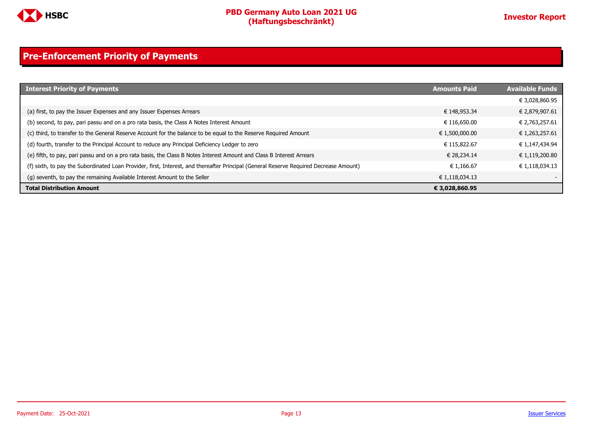

### <span id="page-12-0"></span>**Pre-Enforcement Priority of Payments**

| <b>Interest Priority of Payments</b>                                                                                                   | <b>Amounts Paid</b> | <b>Available Funds</b> |
|----------------------------------------------------------------------------------------------------------------------------------------|---------------------|------------------------|
|                                                                                                                                        |                     | € 3,028,860.95         |
| (a) first, to pay the Issuer Expenses and any Issuer Expenses Arrears                                                                  | € 148,953.34        | € 2,879,907.61         |
| (b) second, to pay, pari passu and on a pro rata basis, the Class A Notes Interest Amount                                              | € 116,650.00        | € 2,763,257.61         |
| (c) third, to transfer to the General Reserve Account for the balance to be equal to the Reserve Required Amount                       | € 1,500,000.00      | € 1,263,257.61         |
| (d) fourth, transfer to the Principal Account to reduce any Principal Deficiency Ledger to zero                                        | € 115,822.67        | € 1,147,434.94         |
| (e) fifth, to pay, pari passu and on a pro rata basis, the Class B Notes Interest Amount and Class B Interest Arrears                  | € 28.234.14         | € 1,119,200.80         |
| (f) sixth, to pay the Subordinated Loan Provider, first, Interest, and thereafter Principal (General Reserve Required Decrease Amount) | € 1.166.67          | € 1,118,034.13         |
| (g) seventh, to pay the remaining Available Interest Amount to the Seller                                                              | € 1,118,034.13      |                        |
| <b>Total Distribution Amount</b>                                                                                                       | € 3,028,860.95      |                        |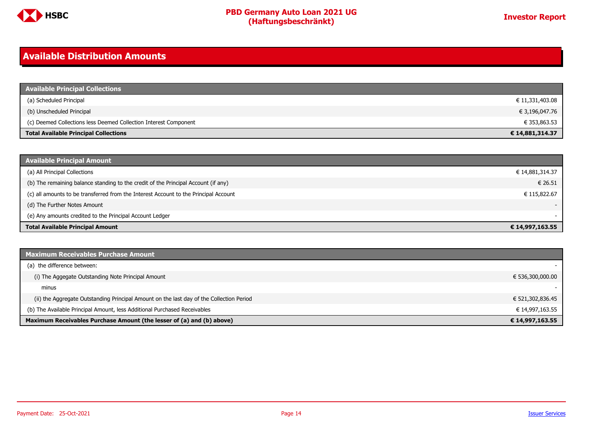

### <span id="page-13-0"></span>**Available Distribution Amounts**

| <b>Available Principal Collections</b>                           |                 |
|------------------------------------------------------------------|-----------------|
| (a) Scheduled Principal                                          | € 11,331,403.08 |
| (b) Unscheduled Principal                                        | € 3,196,047.76  |
| (c) Deemed Collections less Deemed Collection Interest Component | € 353,863.53    |
| <b>Total Available Principal Collections</b>                     | € 14,881,314.37 |

| <b>Available Principal Amount</b>                                                    |                 |
|--------------------------------------------------------------------------------------|-----------------|
| (a) All Principal Collections                                                        | € 14,881,314.37 |
| (b) The remaining balance standing to the credit of the Principal Account (if any)   | € 26.51         |
| (c) all amounts to be transferred from the Interest Account to the Principal Account | € 115,822.67    |
| (d) The Further Notes Amount                                                         | $\sim$          |
| (e) Any amounts credited to the Principal Account Ledger                             |                 |
| <b>Total Available Principal Amount</b>                                              | € 14,997,163.55 |

| <b>Maximum Receivables Purchase Amount</b>                                               |                  |
|------------------------------------------------------------------------------------------|------------------|
| (a) the difference between:                                                              |                  |
| (i) The Aggegate Outstanding Note Principal Amount                                       | € 536,300,000.00 |
| minus                                                                                    |                  |
| (ii) the Aggregate Outstanding Principal Amount on the last day of the Collection Period | € 521,302,836.45 |
| (b) The Available Principal Amount, less Additional Purchased Receivables                | € 14,997,163.55  |
| Maximum Receivables Purchase Amount (the lesser of (a) and (b) above)                    | € 14,997,163.55  |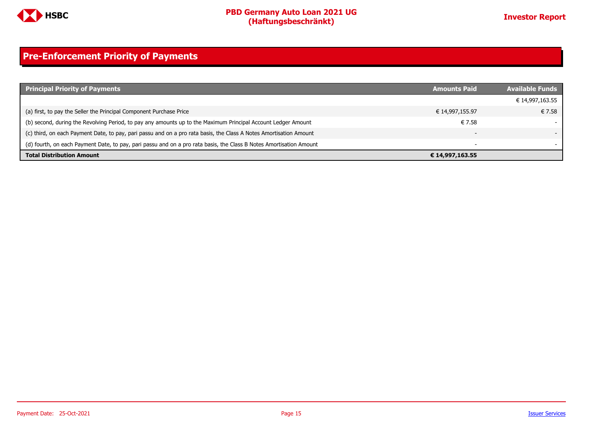

### <span id="page-14-0"></span>**Pre-Enforcement Priority of Payments**

| <b>Principal Priority of Payments</b>                                                                               | <b>Amounts Paid</b> | <b>Available Funds</b> |
|---------------------------------------------------------------------------------------------------------------------|---------------------|------------------------|
|                                                                                                                     |                     | € 14,997,163.55        |
| (a) first, to pay the Seller the Principal Component Purchase Price                                                 | € 14,997,155.97     | € 7.58                 |
| (b) second, during the Revolving Period, to pay any amounts up to the Maximum Principal Account Ledger Amount       | € 7.58              |                        |
| (c) third, on each Payment Date, to pay, pari passu and on a pro rata basis, the Class A Notes Amortisation Amount  | -                   |                        |
| (d) fourth, on each Payment Date, to pay, pari passu and on a pro rata basis, the Class B Notes Amortisation Amount | -                   |                        |
| <b>Total Distribution Amount</b>                                                                                    | € 14,997,163.55     |                        |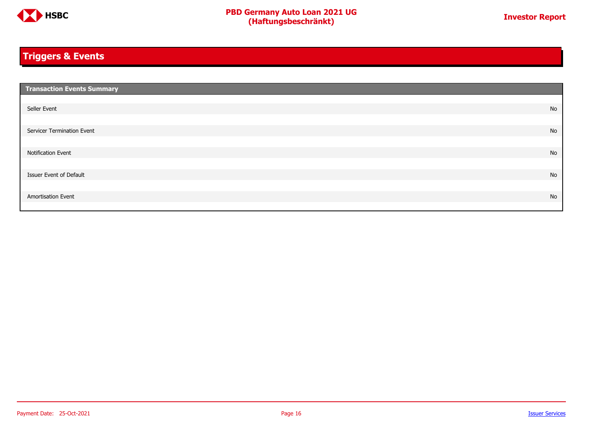

### <span id="page-15-0"></span>**Triggers & Events**

| <b>Transaction Events Summary</b> |    |
|-----------------------------------|----|
|                                   |    |
| Seller Event                      | No |
|                                   |    |
| Servicer Termination Event        | No |
|                                   |    |
| Notification Event                | No |
|                                   |    |
| Issuer Event of Default           | No |
|                                   |    |
| Amortisation Event                | No |
|                                   |    |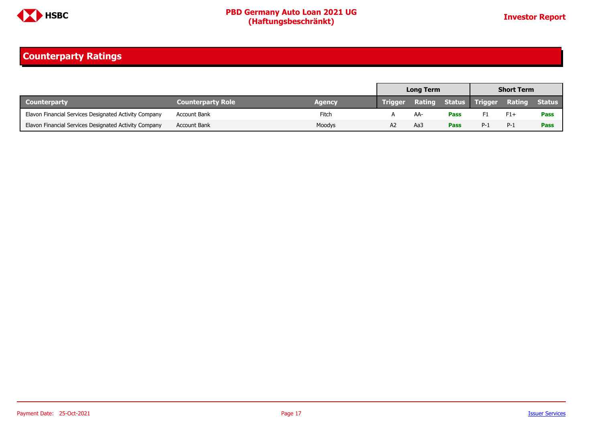

### <span id="page-16-0"></span>**Counterparty Ratings**

|                                                       |                          |        | <b>Short Term</b><br><b>Long Term</b> |     |             |                              |        |               |
|-------------------------------------------------------|--------------------------|--------|---------------------------------------|-----|-------------|------------------------------|--------|---------------|
| <b>Counterparty</b>                                   | <b>Counterparty Role</b> | Agency | <b>Trigger</b>                        |     |             | <b>Rating Status Trigger</b> | Rating | <b>Status</b> |
| Elavon Financial Services Designated Activity Company | <b>Account Bank</b>      | Fitch  |                                       |     | <b>Pass</b> |                              | $F1+$  | Pass          |
| Elavon Financial Services Designated Activity Company | <b>Account Bank</b>      | Moodys |                                       | Aa: | <b>Pass</b> | $P-1$                        | $P-1$  | Pass          |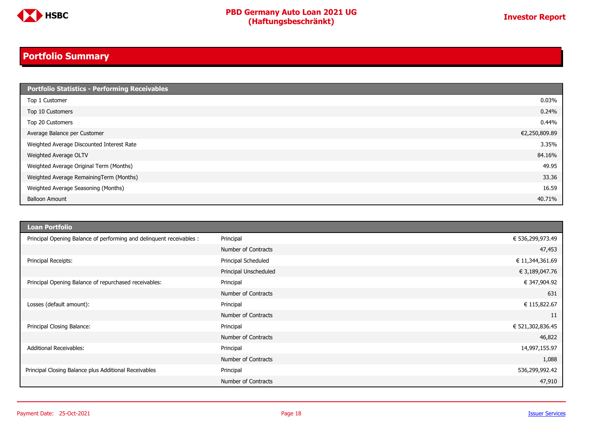

### <span id="page-17-0"></span>**Portfolio Summary**

| <b>Portfolio Statistics - Performing Receivables</b> |               |
|------------------------------------------------------|---------------|
| Top 1 Customer                                       | 0.03%         |
| Top 10 Customers                                     | 0.24%         |
| Top 20 Customers                                     | 0.44%         |
| Average Balance per Customer                         | €2,250,809.89 |
| Weighted Average Discounted Interest Rate            | 3.35%         |
| Weighted Average OLTV                                | 84.16%        |
| Weighted Average Original Term (Months)              | 49.95         |
| Weighted Average RemainingTerm (Months)              | 33.36         |
| Weighted Average Seasoning (Months)                  | 16.59         |
| <b>Balloon Amount</b>                                | 40.71%        |

| <b>Loan Portfolio</b>                                                |                       |                  |
|----------------------------------------------------------------------|-----------------------|------------------|
| Principal Opening Balance of performing and delinquent receivables : | Principal             | € 536,299,973.49 |
|                                                                      | Number of Contracts   | 47,453           |
| Principal Receipts:                                                  | Principal Scheduled   | € 11,344,361.69  |
|                                                                      | Principal Unscheduled | € 3,189,047.76   |
| Principal Opening Balance of repurchased receivables:                | Principal             | € 347,904.92     |
|                                                                      | Number of Contracts   | 631              |
| Losses (default amount):                                             | Principal             | € 115,822.67     |
|                                                                      | Number of Contracts   | 11               |
| Principal Closing Balance:                                           | Principal             | € 521,302,836.45 |
|                                                                      | Number of Contracts   | 46,822           |
| <b>Additional Receivables:</b>                                       | Principal             | 14,997,155.97    |
|                                                                      | Number of Contracts   | 1,088            |
| Principal Closing Balance plus Additional Receivables                | Principal             | 536,299,992.42   |
|                                                                      | Number of Contracts   | 47,910           |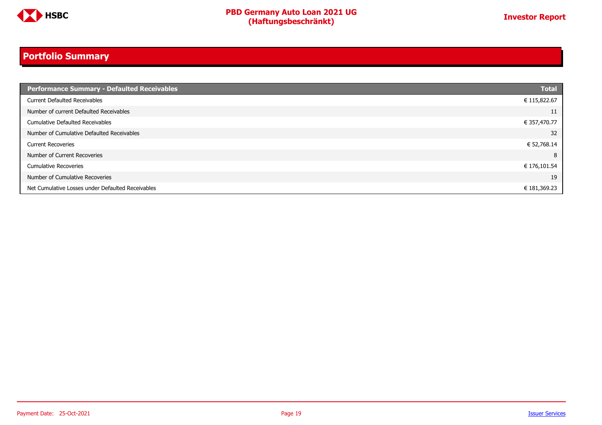

### **Portfolio Summary**

| <b>Performance Summary - Defaulted Receivables</b> | <b>Total</b> |
|----------------------------------------------------|--------------|
| <b>Current Defaulted Receivables</b>               | € 115,822.67 |
| Number of current Defaulted Receivables            | 11           |
| Cumulative Defaulted Receivables                   | € 357,470.77 |
| Number of Cumulative Defaulted Receivables         | 32           |
| <b>Current Recoveries</b>                          | € 52,768.14  |
| Number of Current Recoveries                       | 8            |
| <b>Cumulative Recoveries</b>                       | € 176,101.54 |
| Number of Cumulative Recoveries                    | 19           |
| Net Cumulative Losses under Defaulted Receivables  | € 181,369.23 |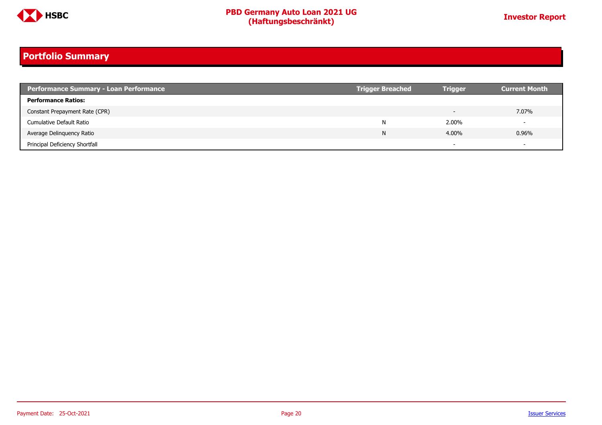

### **Portfolio Summary**

| <b>Performance Summary - Loan Performance</b> | <b>Trigger Breached</b> | <b>Trigger</b> | <b>Current Month</b>     |
|-----------------------------------------------|-------------------------|----------------|--------------------------|
| <b>Performance Ratios:</b>                    |                         |                |                          |
| Constant Prepayment Rate (CPR)                |                         |                | 7.07%                    |
| Cumulative Default Ratio                      | N                       | 2.00%          | $\overline{\phantom{0}}$ |
| Average Delinguency Ratio                     | N                       | 4.00%          | 0.96%                    |
| Principal Deficiency Shortfall                |                         |                | $\overline{\phantom{0}}$ |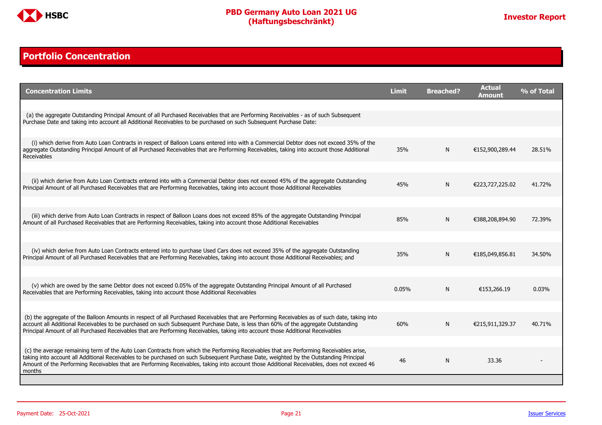

### <span id="page-20-0"></span>**Portfolio Concentration**

| <b>Concentration Limits</b>                                                                                                                                                                                                                                                                                                                                                                                                              | <b>Limit</b> | <b>Breached?</b> | <b>Actual</b><br>Amount | % of Total |
|------------------------------------------------------------------------------------------------------------------------------------------------------------------------------------------------------------------------------------------------------------------------------------------------------------------------------------------------------------------------------------------------------------------------------------------|--------------|------------------|-------------------------|------------|
|                                                                                                                                                                                                                                                                                                                                                                                                                                          |              |                  |                         |            |
| (a) the aggregate Outstanding Principal Amount of all Purchased Receivables that are Performing Receivables - as of such Subsequent<br>Purchase Date and taking into account all Additional Receivables to be purchased on such Subsequent Purchase Date:                                                                                                                                                                                |              |                  |                         |            |
|                                                                                                                                                                                                                                                                                                                                                                                                                                          |              |                  |                         |            |
| (i) which derive from Auto Loan Contracts in respect of Balloon Loans entered into with a Commercial Debtor does not exceed 35% of the<br>aggregate Outstanding Principal Amount of all Purchased Receivables that are Performing Receivables, taking into account those Additional<br>Receivables                                                                                                                                       | 35%          | N                | €152,900,289.44         | 28.51%     |
|                                                                                                                                                                                                                                                                                                                                                                                                                                          |              |                  |                         |            |
| (ii) which derive from Auto Loan Contracts entered into with a Commercial Debtor does not exceed 45% of the aggregate Outstanding<br>Principal Amount of all Purchased Receivables that are Performing Receivables, taking into account those Additional Receivables                                                                                                                                                                     | 45%          | N                | €223,727,225.02         | 41.72%     |
|                                                                                                                                                                                                                                                                                                                                                                                                                                          |              |                  |                         |            |
| (iii) which derive from Auto Loan Contracts in respect of Balloon Loans does not exceed 85% of the aggregate Outstanding Principal<br>Amount of all Purchased Receivables that are Performing Receivables, taking into account those Additional Receivables                                                                                                                                                                              | 85%          | N                | €388,208,894.90         | 72.39%     |
|                                                                                                                                                                                                                                                                                                                                                                                                                                          |              |                  |                         |            |
| (iv) which derive from Auto Loan Contracts entered into to purchase Used Cars does not exceed 35% of the aggregate Outstanding<br>Principal Amount of all Purchased Receivables that are Performing Receivables, taking into account those Additional Receivables; and                                                                                                                                                                   | 35%          | N                | €185,049,856.81         | 34.50%     |
|                                                                                                                                                                                                                                                                                                                                                                                                                                          |              |                  |                         |            |
| (v) which are owed by the same Debtor does not exceed 0.05% of the aggregate Outstanding Principal Amount of all Purchased<br>Receivables that are Performing Receivables, taking into account those Additional Receivables                                                                                                                                                                                                              | 0.05%        | N                | €153,266.19             | 0.03%      |
|                                                                                                                                                                                                                                                                                                                                                                                                                                          |              |                  |                         |            |
| (b) the aggregate of the Balloon Amounts in respect of all Purchased Receivables that are Performing Receivables as of such date, taking into<br>account all Additional Receivables to be purchased on such Subsequent Purchase Date, is less than 60% of the aggregate Outstanding<br>Principal Amount of all Purchased Receivables that are Performing Receivables, taking into account those Additional Receivables                   | 60%          | N                | €215,911,329.37         | 40.71%     |
|                                                                                                                                                                                                                                                                                                                                                                                                                                          |              |                  |                         |            |
| (c) the average remaining term of the Auto Loan Contracts from which the Performing Receivables that are Performing Receivables arise,<br>taking into account all Additional Receivables to be purchased on such Subsequent Purchase Date, weighted by the Outstanding Principal<br>Amount of the Performing Receivables that are Performing Receivables, taking into account those Additional Receivables, does not exceed 46<br>months | 46           | N                | 33.36                   |            |
|                                                                                                                                                                                                                                                                                                                                                                                                                                          |              |                  |                         |            |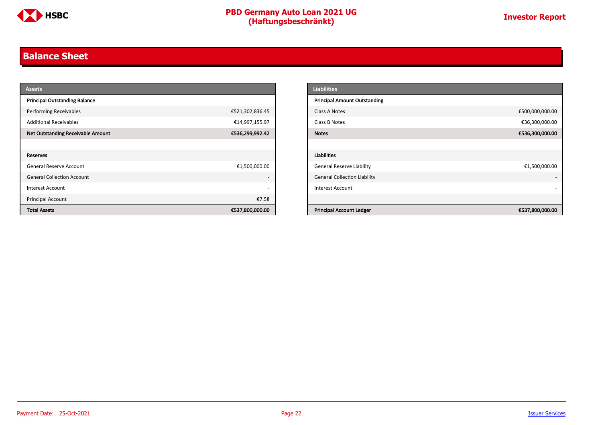

### <span id="page-21-0"></span>**Balance Sheet**

| <b>Assets</b>                            |                 | <b>Liabilities</b>                                 |
|------------------------------------------|-----------------|----------------------------------------------------|
| <b>Principal Outstanding Balance</b>     |                 | <b>Principal Amount Outstanding</b>                |
| <b>Performing Receivables</b>            | €521,302,836.45 | €500,000,000.00<br>Class A Notes                   |
| <b>Additional Receivables</b>            | €14,997,155.97  | €36,300,000.00<br>Class B Notes                    |
| <b>Net Outstanding Receivable Amount</b> | €536,299,992.42 | €536,300,000.00<br><b>Notes</b>                    |
|                                          |                 |                                                    |
| Reserves                                 |                 | <b>Liabilities</b>                                 |
| <b>General Reserve Account</b>           | €1,500,000.00   | <b>General Reserve Liability</b><br>€1,500,000.00  |
| <b>General Collection Account</b>        |                 | <b>General Collection Liability</b>                |
| Interest Account                         |                 | <b>Interest Account</b>                            |
| <b>Principal Account</b>                 | €7.58           |                                                    |
| <b>Total Assets</b>                      | €537,800,000.00 | <b>Principal Account Ledger</b><br>€537,800,000.00 |

| <b>Liabilities</b>                  |                 |
|-------------------------------------|-----------------|
| <b>Principal Amount Outstanding</b> |                 |
| Class A Notes                       | €500,000,000.00 |
| Class B Notes                       | €36,300,000.00  |
| <b>Notes</b>                        | €536,300,000.00 |
|                                     |                 |
| <b>Liabilities</b>                  |                 |
| <b>General Reserve Liability</b>    | €1,500,000.00   |
| <b>General Collection Liability</b> |                 |
| <b>Interest Account</b>             |                 |
|                                     |                 |
| <b>Principal Account Ledger</b>     | €537,800,000.00 |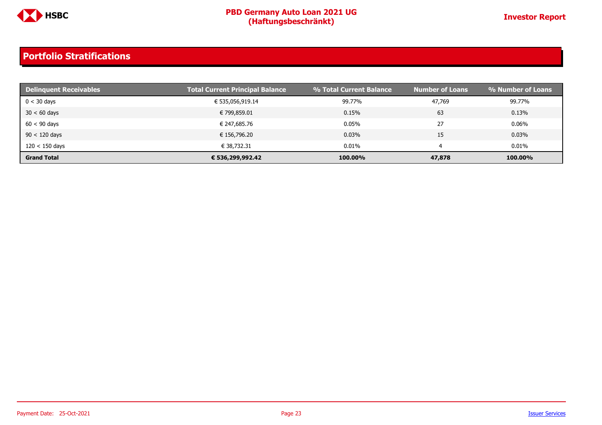

| <b>Delinquent Receivables</b> | <b>Total Current Principal Balance</b> | % Total Current Balance | <b>Number of Loans</b> | <b>% Number of Loans</b> |
|-------------------------------|----------------------------------------|-------------------------|------------------------|--------------------------|
| $0 < 30$ days                 | € 535,056,919.14                       | 99.77%                  | 47,769                 | 99.77%                   |
| $30 < 60$ days                | € 799,859.01                           | 0.15%                   | 63                     | 0.13%                    |
| $60 < 90$ days                | € 247,685.76                           | 0.05%                   | 27                     | 0.06%                    |
| $90 < 120$ days               | € 156,796.20                           | $0.03\%$                | 15                     | 0.03%                    |
| $120 < 150$ days              | € 38.732.31                            | 0.01%                   |                        | 0.01%                    |
| <b>Grand Total</b>            | € 536,299,992.42                       | 100.00%                 | 47,878                 | 100.00%                  |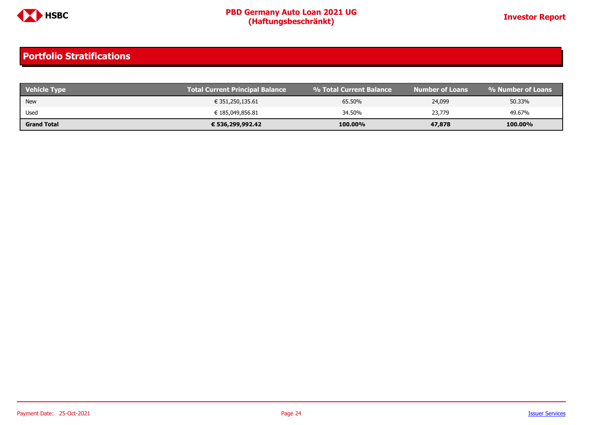

| <b>Vehicle Type</b> | <b>Total Current Principal Balance</b> | <b>9% Total Current Balance</b> | Number of Loans | । % Number of Loans ' |
|---------------------|----------------------------------------|---------------------------------|-----------------|-----------------------|
| <b>New</b>          | € 351,250,135.61                       | 65.50%                          | 24,099          | 50.33%                |
| Used                | € 185,049,856.81                       | 34.50%                          | 23,779          | 49.67%                |
| <b>Grand Total</b>  | € 536,299,992.42                       | 100.00%                         | 47,878          | 100.00%               |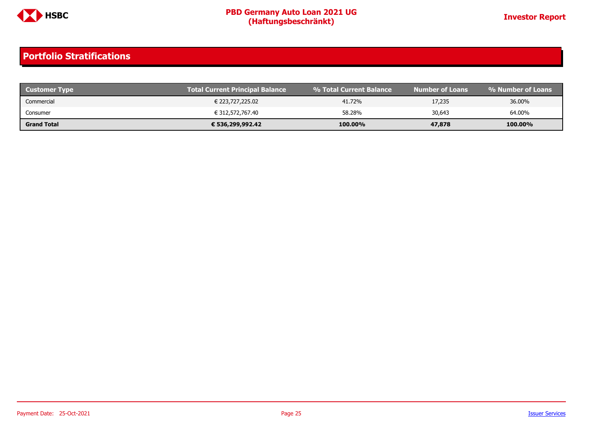

| <b>Customer Type</b> | <b>Total Current Principal Balance</b> | ↓% Total Current Balance \ | Number of Loans' | % Number of Loans |
|----------------------|----------------------------------------|----------------------------|------------------|-------------------|
| Commercial           | € 223,727,225.02                       | 41.72%                     | 17,235           | 36.00%            |
| Consumer             | € 312,572,767.40                       | 58.28%                     | 30,643           | 64.00%            |
| <b>Grand Total</b>   | € 536,299,992.42                       | 100.00%                    | 47,878           | 100.00%           |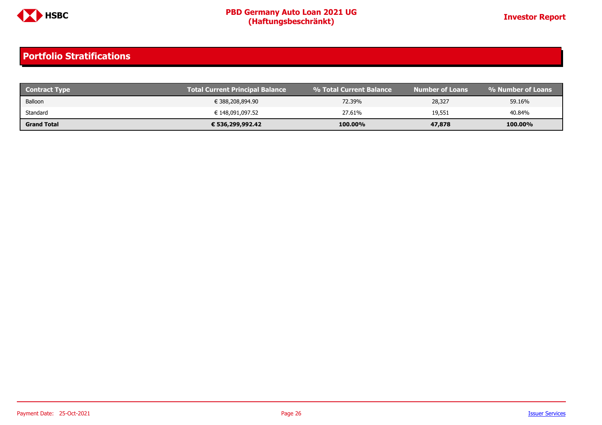

| <b>Contract Type</b> | <b>Total Current Principal Balance</b> | 1 % Total Current Balance \ | Number of Loans' | % Number of Loans |
|----------------------|----------------------------------------|-----------------------------|------------------|-------------------|
| Balloon              | € 388,208,894.90                       | 72.39%                      | 28,327           | 59.16%            |
| Standard             | € 148,091,097.52                       | 27.61%                      | 19,551           | 40.84%            |
| <b>Grand Total</b>   | € 536,299,992.42                       | 100.00%                     | 47,878           | 100.00%           |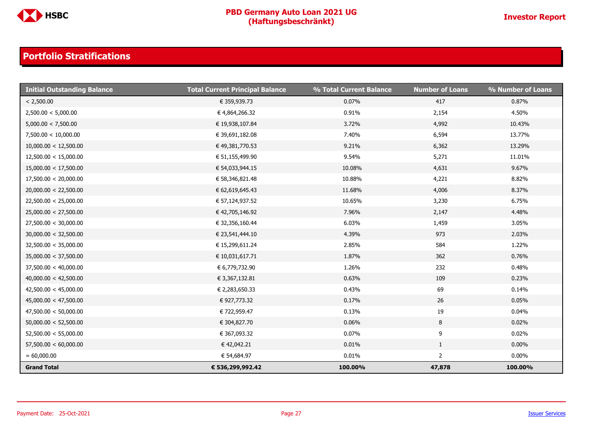

| <b>Initial Outstanding Balance</b> | <b>Total Current Principal Balance</b> | % Total Current Balance | <b>Number of Loans</b> | % Number of Loans |
|------------------------------------|----------------------------------------|-------------------------|------------------------|-------------------|
| < 2,500.00                         | € 359,939.73                           | 0.07%                   | 417                    | 0.87%             |
| 2,500.00 < 5,000.00                | € 4,864,266.32                         | 0.91%                   | 2,154                  | 4.50%             |
| 5,000.00 < 7,500.00                | € 19,938,107.84                        | 3.72%                   | 4,992                  | 10.43%            |
| 7,500.00 < 10,000.00               | € 39,691,182.08                        | 7.40%                   | 6,594                  | 13.77%            |
| 10,000.00 < 12,500.00              | € 49,381,770.53                        | 9.21%                   | 6,362                  | 13.29%            |
| 12,500.00 < 15,000.00              | € 51,155,499.90                        | 9.54%                   | 5,271                  | 11.01%            |
| 15,000.00 < 17,500.00              | € 54,033,944.15                        | 10.08%                  | 4,631                  | 9.67%             |
| 17,500.00 < 20,000.00              | € 58,346,821.48                        | 10.88%                  | 4,221                  | 8.82%             |
| 20,000.00 < 22,500.00              | € 62,619,645.43                        | 11.68%                  | 4,006                  | 8.37%             |
| 22,500.00 < 25,000.00              | € 57,124,937.52                        | 10.65%                  | 3,230                  | 6.75%             |
| 25,000.00 < 27,500.00              | € 42,705,146.92                        | 7.96%                   | 2,147                  | 4.48%             |
| 27,500.00 < 30,000.00              | € 32,356,160.44                        | 6.03%                   | 1,459                  | 3.05%             |
| 30,000.00 < 32,500.00              | € 23,541,444.10                        | 4.39%                   | 973                    | 2.03%             |
| 32,500.00 < 35,000.00              | € 15,299,611.24                        | 2.85%                   | 584                    | 1.22%             |
| 35,000.00 < 37,500.00              | € 10,031,617.71                        | 1.87%                   | 362                    | 0.76%             |
| 37,500.00 < 40,000.00              | € 6,779,732.90                         | 1.26%                   | 232                    | 0.48%             |
| 40,000.00 < 42,500.00              | € 3,367,132.81                         | 0.63%                   | 109                    | 0.23%             |
| 42,500.00 < 45,000.00              | € 2,283,650.33                         | 0.43%                   | 69                     | 0.14%             |
| 45,000.00 < 47,500.00              | € 927,773.32                           | 0.17%                   | 26                     | 0.05%             |
| 47,500.00 < 50,000.00              | € 722,959.47                           | 0.13%                   | 19                     | 0.04%             |
| 50,000.00 < 52,500.00              | € 304,827.70                           | 0.06%                   | 8                      | 0.02%             |
| 52,500.00 < 55,000.00              | € 367,093.32                           | 0.07%                   | 9                      | 0.02%             |
| 57,500.00 < 60,000.00              | € 42,042.21                            | 0.01%                   | $\mathbf{1}$           | $0.00\%$          |
| $= 60,000.00$                      | € 54,684.97                            | 0.01%                   | $\overline{2}$         | $0.00\%$          |
| <b>Grand Total</b>                 | € 536,299,992.42                       | 100.00%                 | 47,878                 | 100.00%           |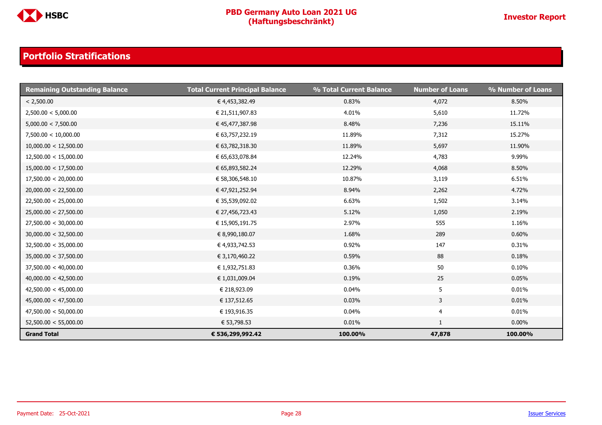

| <b>Remaining Outstanding Balance</b> | <b>Total Current Principal Balance</b> | % Total Current Balance | <b>Number of Loans</b> | % Number of Loans |
|--------------------------------------|----------------------------------------|-------------------------|------------------------|-------------------|
| < 2,500.00                           | € 4,453,382.49                         | 0.83%                   | 4,072                  | 8.50%             |
| 2,500.00 < 5,000.00                  | € 21,511,907.83                        | 4.01%                   | 5,610                  | 11.72%            |
| 5,000.00 < 7,500.00                  | € 45,477,387.98                        | 8.48%                   | 7,236                  | 15.11%            |
| 7,500.00 < 10,000.00                 | € 63,757,232.19                        | 11.89%                  | 7,312                  | 15.27%            |
| 10,000.00 < 12,500.00                | € 63,782,318.30                        | 11.89%                  | 5,697                  | 11.90%            |
| 12,500.00 < 15,000.00                | € 65,633,078.84                        | 12.24%                  | 4,783                  | 9.99%             |
| 15,000.00 < 17,500.00                | € 65,893,582.24                        | 12.29%                  | 4,068                  | 8.50%             |
| 17,500.00 < 20,000.00                | € 58,306,548.10                        | 10.87%                  | 3,119                  | 6.51%             |
| 20,000.00 < 22,500.00                | € 47,921,252.94                        | 8.94%                   | 2,262                  | 4.72%             |
| 22,500.00 < 25,000.00                | € 35,539,092.02                        | 6.63%                   | 1,502                  | 3.14%             |
| 25,000.00 < 27,500.00                | € 27,456,723.43                        | 5.12%                   | 1,050                  | 2.19%             |
| 27,500.00 < 30,000.00                | € 15,905,191.75                        | 2.97%                   | 555                    | 1.16%             |
| 30,000.00 < 32,500.00                | € 8,990,180.07                         | 1.68%                   | 289                    | 0.60%             |
| 32,500.00 < 35,000.00                | € 4,933,742.53                         | 0.92%                   | 147                    | 0.31%             |
| 35,000.00 < 37,500.00                | € 3,170,460.22                         | 0.59%                   | 88                     | 0.18%             |
| 37,500.00 < 40,000.00                | € 1,932,751.83                         | 0.36%                   | 50                     | 0.10%             |
| 40,000.00 < 42,500.00                | € 1,031,009.04                         | 0.19%                   | 25                     | 0.05%             |
| 42,500.00 < 45,000.00                | € 218,923.09                           | 0.04%                   | 5                      | 0.01%             |
| 45,000.00 < 47,500.00                | € 137,512.65                           | 0.03%                   | $\mathsf{3}$           | 0.01%             |
| 47,500.00 < 50,000.00                | € 193,916.35                           | 0.04%                   | 4                      | 0.01%             |
| 52,500.00 < 55,000.00                | € 53,798.53                            | 0.01%                   | 1                      | $0.00\%$          |
| <b>Grand Total</b>                   | € 536,299,992.42                       | 100.00%                 | 47,878                 | 100.00%           |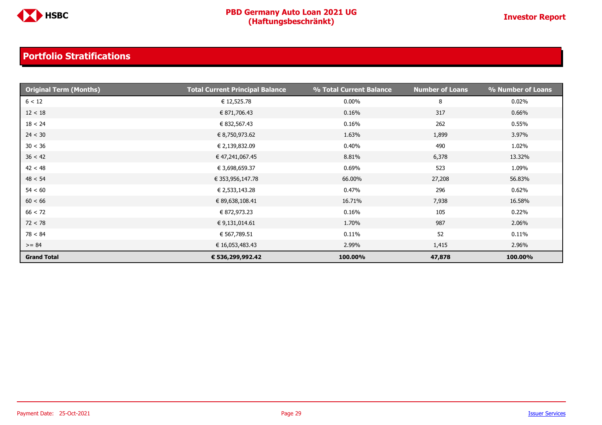

| <b>Original Term (Months)</b> | <b>Total Current Principal Balance</b> | % Total Current Balance | <b>Number of Loans</b> | % Number of Loans |
|-------------------------------|----------------------------------------|-------------------------|------------------------|-------------------|
| 6 < 12                        | € 12,525.78                            | 0.00%                   | 8                      | $0.02\%$          |
| 12 < 18                       | € 871,706.43                           | 0.16%                   | 317                    | 0.66%             |
| 18 < 24                       | € 832,567.43                           | 0.16%                   | 262                    | 0.55%             |
| 24 < 30                       | € 8,750,973.62                         | 1.63%                   | 1,899                  | 3.97%             |
| 30 < 36                       | € 2,139,832.09                         | 0.40%                   | 490                    | 1.02%             |
| 36 < 42                       | € 47,241,067.45                        | 8.81%                   | 6,378                  | 13.32%            |
| 42 < 48                       | € 3,698,659.37                         | 0.69%                   | 523                    | 1.09%             |
| 48 < 54                       | € 353,956,147.78                       | 66.00%                  | 27,208                 | 56.83%            |
| 54 < 60                       | € 2,533,143.28                         | 0.47%                   | 296                    | 0.62%             |
| 60 < 66                       | € 89,638,108.41                        | 16.71%                  | 7,938                  | 16.58%            |
| 66 < 72                       | € 872,973.23                           | 0.16%                   | 105                    | 0.22%             |
| 72 < 78                       | € 9,131,014.61                         | 1.70%                   | 987                    | 2.06%             |
| 78 < 84                       | € 567,789.51                           | 0.11%                   | 52                     | 0.11%             |
| $>= 84$                       | € 16,053,483.43                        | 2.99%                   | 1,415                  | 2.96%             |
| <b>Grand Total</b>            | € 536,299,992.42                       | 100.00%                 | 47,878                 | 100.00%           |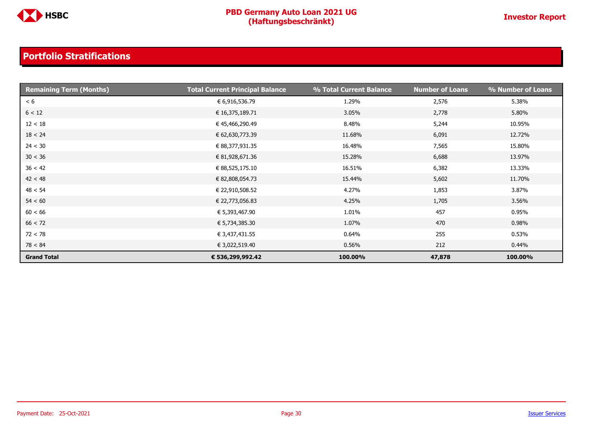

| <b>Remaining Term (Months)</b> | <b>Total Current Principal Balance</b> | % Total Current Balance | <b>Number of Loans</b> | % Number of Loans |
|--------------------------------|----------------------------------------|-------------------------|------------------------|-------------------|
| < 6                            | € 6,916,536.79                         | 1.29%                   | 2,576                  | 5.38%             |
| 6 < 12                         | € 16,375,189.71                        | 3.05%                   | 2,778                  | 5.80%             |
| 12 < 18                        | € 45,466,290.49                        | 8.48%                   | 5,244                  | 10.95%            |
| 18 < 24                        | € 62,630,773.39                        | 11.68%                  | 6,091                  | 12.72%            |
| 24 < 30                        | € 88,377,931.35                        | 16.48%                  | 7,565                  | 15.80%            |
| 30 < 36                        | € 81,928,671.36                        | 15.28%                  | 6,688                  | 13.97%            |
| 36 < 42                        | € 88,525,175.10                        | 16.51%                  | 6,382                  | 13.33%            |
| 42 < 48                        | € 82,808,054.73                        | 15.44%                  | 5,602                  | 11.70%            |
| 48 < 54                        | € 22,910,508.52                        | 4.27%                   | 1,853                  | 3.87%             |
| 54 < 60                        | € 22,773,056.83                        | 4.25%                   | 1,705                  | 3.56%             |
| 60 < 66                        | € 5,393,467.90                         | 1.01%                   | 457                    | 0.95%             |
| 66 < 72                        | € 5,734,385.30                         | 1.07%                   | 470                    | 0.98%             |
| 72 < 78                        | € 3,437,431.55                         | 0.64%                   | 255                    | 0.53%             |
| 78 < 84                        | € 3,022,519.40                         | 0.56%                   | 212                    | 0.44%             |
| <b>Grand Total</b>             | € 536,299,992.42                       | 100.00%                 | 47,878                 | 100.00%           |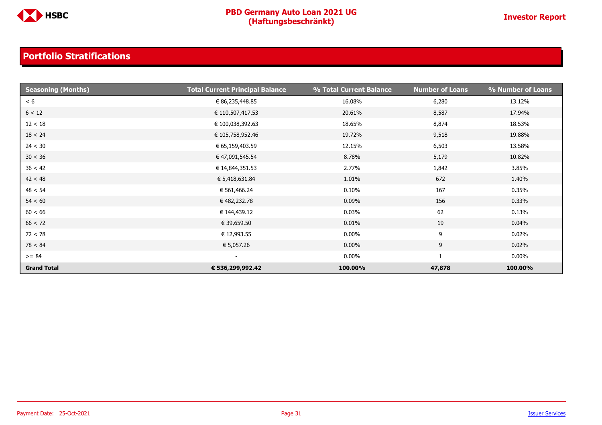

| <b>Seasoning (Months)</b> | <b>Total Current Principal Balance</b> | % Total Current Balance | <b>Number of Loans</b> | % Number of Loans |
|---------------------------|----------------------------------------|-------------------------|------------------------|-------------------|
| < 6                       | € 86,235,448.85                        | 16.08%                  | 6,280                  | 13.12%            |
| 6 < 12                    | € 110,507,417.53                       | 20.61%                  | 8,587                  | 17.94%            |
| 12 < 18                   | € 100,038,392.63                       | 18.65%                  | 8,874                  | 18.53%            |
| 18 < 24                   | € 105,758,952.46                       | 19.72%                  | 9,518                  | 19.88%            |
| 24 < 30                   | € 65,159,403.59                        | 12.15%                  | 6,503                  | 13.58%            |
| 30 < 36                   | € 47,091,545.54                        | 8.78%                   | 5,179                  | 10.82%            |
| 36 < 42                   | € 14,844,351.53                        | 2.77%                   | 1,842                  | 3.85%             |
| 42 < 48                   | € 5,418,631.84                         | 1.01%                   | 672                    | 1.40%             |
| 48 < 54                   | € 561,466.24                           | 0.10%                   | 167                    | 0.35%             |
| 54 < 60                   | € 482,232.78                           | 0.09%                   | 156                    | 0.33%             |
| 60 < 66                   | € 144,439.12                           | 0.03%                   | 62                     | 0.13%             |
| 66 < 72                   | € 39,659.50                            | 0.01%                   | 19                     | 0.04%             |
| 72 < 78                   | € 12,993.55                            | $0.00\%$                | 9                      | $0.02\%$          |
| 78 < 84                   | € 5,057.26                             | $0.00\%$                | 9                      | 0.02%             |
| $>= 84$                   | $\overline{\phantom{a}}$               | $0.00\%$                | 1                      | $0.00\%$          |
| <b>Grand Total</b>        | € 536,299,992.42                       | 100.00%                 | 47,878                 | 100.00%           |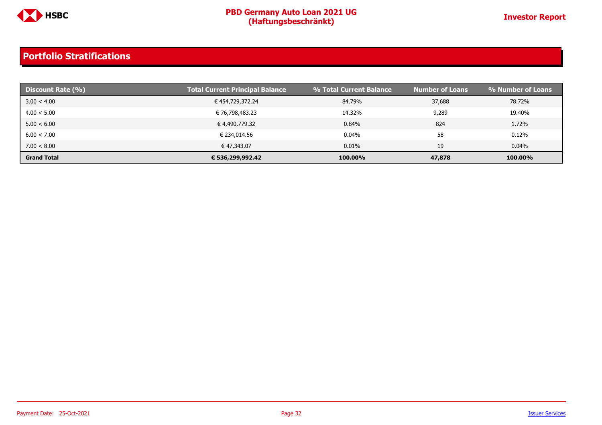

| Discount Rate (%)  | <b>Total Current Principal Balance</b> | % Total Current Balance | <b>Number of Loans</b> | % Number of Loans |
|--------------------|----------------------------------------|-------------------------|------------------------|-------------------|
| 3.00 < 4.00        | € 454,729,372.24                       | 84.79%                  | 37,688                 | 78.72%            |
| 4.00 < 5.00        | € 76,798,483.23                        | 14.32%                  | 9,289                  | 19.40%            |
| 5.00 < 6.00        | € 4,490,779.32                         | 0.84%                   | 824                    | 1.72%             |
| 6.00 < 7.00        | € 234,014.56                           | $0.04\%$                | 58                     | 0.12%             |
| 7.00 < 8.00        | € 47,343.07                            | 0.01%                   | 19                     | 0.04%             |
| <b>Grand Total</b> | € 536,299,992.42                       | 100.00%                 | 47,878                 | 100.00%           |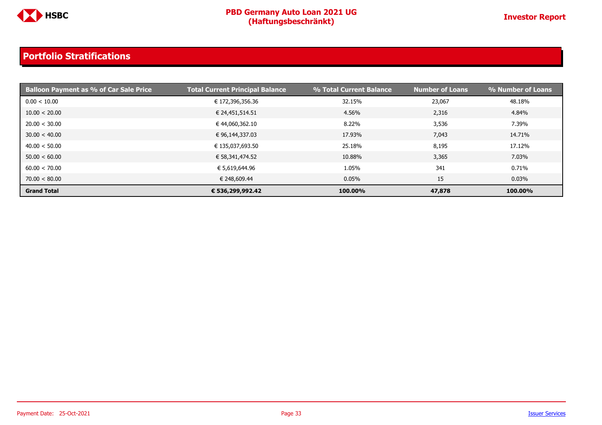

| <b>Balloon Payment as % of Car Sale Price</b> | <b>Total Current Principal Balance</b> | % Total Current Balance | <b>Number of Loans</b> | % Number of Loans |
|-----------------------------------------------|----------------------------------------|-------------------------|------------------------|-------------------|
| 0.00 < 10.00                                  | € 172,396,356.36                       | 32.15%                  | 23,067                 | 48.18%            |
| 10.00 < 20.00                                 | € 24,451,514.51                        | 4.56%                   | 2,316                  | 4.84%             |
| 20.00 < 30.00                                 | € 44,060,362.10                        | 8.22%                   | 3,536                  | 7.39%             |
| 30.00 < 40.00                                 | € 96,144,337.03                        | 17.93%                  | 7,043                  | 14.71%            |
| 40.00 < 50.00                                 | € 135,037,693.50                       | 25.18%                  | 8,195                  | 17.12%            |
| 50.00 < 60.00                                 | € 58,341,474.52                        | 10.88%                  | 3,365                  | 7.03%             |
| 60.00 < 70.00                                 | € 5,619,644.96                         | 1.05%                   | 341                    | 0.71%             |
| 70.00 < 80.00                                 | € 248,609.44                           | $0.05\%$                | 15                     | 0.03%             |
| <b>Grand Total</b>                            | € 536,299,992.42                       | 100.00%                 | 47,878                 | 100.00%           |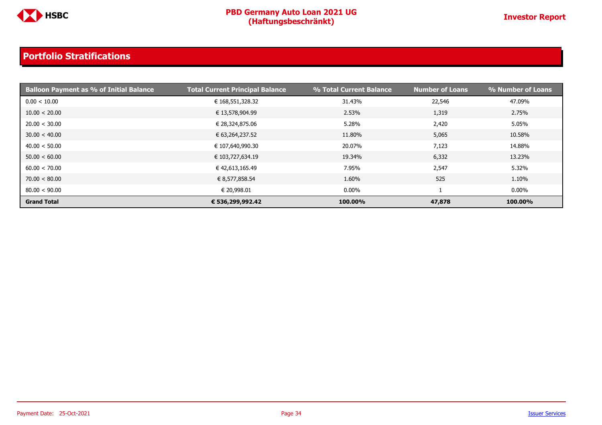

| <b>Balloon Payment as % of Initial Balance</b> | <b>Total Current Principal Balance</b> | % Total Current Balance | <b>Number of Loans</b> | % Number of Loans |
|------------------------------------------------|----------------------------------------|-------------------------|------------------------|-------------------|
| 0.00 < 10.00                                   | € 168,551,328.32                       | 31.43%                  | 22,546                 | 47.09%            |
| 10.00 < 20.00                                  | € 13,578,904.99                        | 2.53%                   | 1,319                  | 2.75%             |
| 20.00 < 30.00                                  | € 28,324,875.06                        | 5.28%                   | 2,420                  | 5.05%             |
| 30.00 < 40.00                                  | € 63,264,237.52                        | 11.80%                  | 5,065                  | 10.58%            |
| 40.00 < 50.00                                  | € 107,640,990.30                       | 20.07%                  | 7,123                  | 14.88%            |
| 50.00 < 60.00                                  | € 103,727,634.19                       | 19.34%                  | 6,332                  | 13.23%            |
| 60.00 < 70.00                                  | € 42,613,165.49                        | 7.95%                   | 2,547                  | 5.32%             |
| 70.00 < 80.00                                  | € 8,577,858.54                         | 1.60%                   | 525                    | 1.10%             |
| 80.00 < 90.00                                  | € 20,998.01                            | $0.00\%$                |                        | $0.00\%$          |
| <b>Grand Total</b>                             | € 536,299,992.42                       | 100.00%                 | 47,878                 | 100.00%           |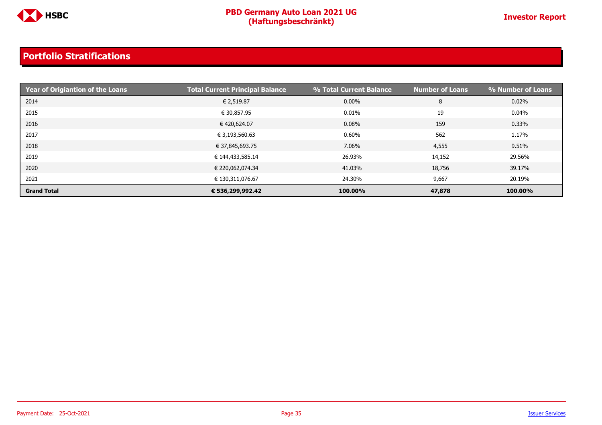

| Year of Origiantion of the Loans | <b>Total Current Principal Balance</b> | % Total Current Balance | <b>Number of Loans</b> | % Number of Loans |
|----------------------------------|----------------------------------------|-------------------------|------------------------|-------------------|
| 2014                             | € 2,519.87                             | $0.00\%$                | 8                      | 0.02%             |
| 2015                             | € 30,857.95                            | 0.01%                   | 19                     | 0.04%             |
| 2016                             | € 420,624.07                           | 0.08%                   | 159                    | 0.33%             |
| 2017                             | € 3,193,560.63                         | 0.60%                   | 562                    | 1.17%             |
| 2018                             | € 37,845,693.75                        | 7.06%                   | 4,555                  | 9.51%             |
| 2019                             | € 144,433,585.14                       | 26.93%                  | 14,152                 | 29.56%            |
| 2020                             | € 220,062,074.34                       | 41.03%                  | 18,756                 | 39.17%            |
| 2021                             | € 130,311,076.67                       | 24.30%                  | 9,667                  | 20.19%            |
| <b>Grand Total</b>               | € 536,299,992.42                       | 100.00%                 | 47,878                 | 100.00%           |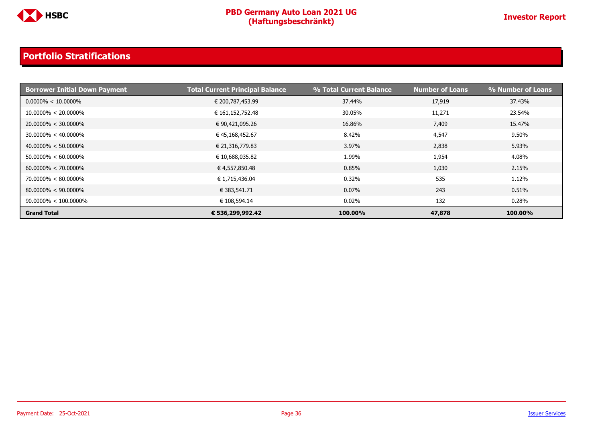

| <b>Borrower Initial Down Payment</b> | <b>Total Current Principal Balance</b> | % Total Current Balance | <b>Number of Loans</b> | % Number of Loans |
|--------------------------------------|----------------------------------------|-------------------------|------------------------|-------------------|
| $0.0000\% < 10.0000\%$               | € 200,787,453.99                       | 37.44%                  | 17,919                 | 37.43%            |
| $10.0000\% < 20.0000\%$              | € 161,152,752.48                       | 30.05%                  | 11,271                 | 23.54%            |
| $20.0000\% < 30.0000\%$              | € 90,421,095.26                        | 16.86%                  | 7,409                  | 15.47%            |
| $30.0000\% < 40.0000\%$              | € 45,168,452.67                        | 8.42%                   | 4,547                  | 9.50%             |
| $40.0000\% < 50.0000\%$              | € 21,316,779.83                        | 3.97%                   | 2,838                  | 5.93%             |
| $50.0000\% < 60.0000\%$              | € 10,688,035.82                        | 1.99%                   | 1,954                  | 4.08%             |
| $60.0000\% < 70.0000\%$              | € 4,557,850.48                         | 0.85%                   | 1,030                  | 2.15%             |
| $70.0000\% < 80.0000\%$              | € 1,715,436.04                         | 0.32%                   | 535                    | 1.12%             |
| $80.0000\% < 90.0000\%$              | € 383,541.71                           | 0.07%                   | 243                    | 0.51%             |
| $90.0000\% < 100.0000\%$             | € 108,594.14                           | 0.02%                   | 132                    | $0.28\%$          |
| <b>Grand Total</b>                   | € 536,299,992.42                       | 100.00%                 | 47,878                 | 100.00%           |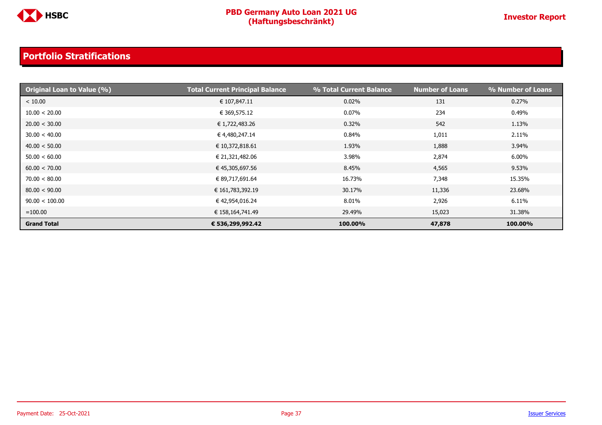

| <b>Original Loan to Value (%)</b> | <b>Total Current Principal Balance</b> | % Total Current Balance | <b>Number of Loans</b> | % Number of Loans |
|-----------------------------------|----------------------------------------|-------------------------|------------------------|-------------------|
| < 10.00                           | € 107,847.11                           | 0.02%                   | 131                    | 0.27%             |
| 10.00 < 20.00                     | € 369,575.12                           | 0.07%                   | 234                    | 0.49%             |
| 20.00 < 30.00                     | € 1,722,483.26                         | 0.32%                   | 542                    | 1.13%             |
| 30.00 < 40.00                     | € 4,480,247.14                         | 0.84%                   | 1,011                  | 2.11%             |
| 40.00 < 50.00                     | € 10,372,818.61                        | 1.93%                   | 1,888                  | 3.94%             |
| 50.00 < 60.00                     | € 21,321,482.06                        | 3.98%                   | 2,874                  | 6.00%             |
| 60.00 < 70.00                     | € 45,305,697.56                        | 8.45%                   | 4,565                  | 9.53%             |
| 70.00 < 80.00                     | € 89,717,691.64                        | 16.73%                  | 7,348                  | 15.35%            |
| 80.00 < 90.00                     | € 161,783,392.19                       | 30.17%                  | 11,336                 | 23.68%            |
| 90.00 < 100.00                    | € 42,954,016.24                        | 8.01%                   | 2,926                  | 6.11%             |
| $=100.00$                         | € 158,164,741.49                       | 29.49%                  | 15,023                 | 31.38%            |
| <b>Grand Total</b>                | € 536,299,992.42                       | 100.00%                 | 47,878                 | 100.00%           |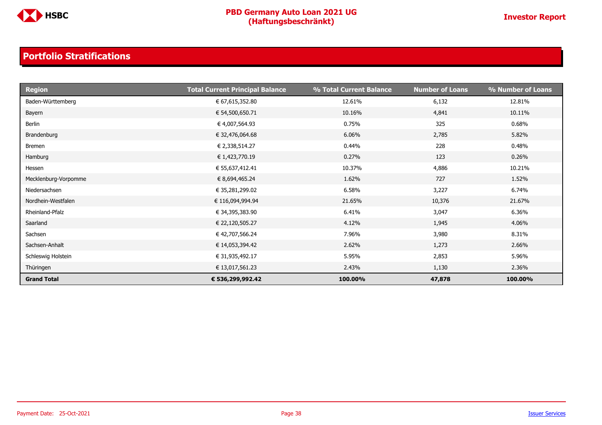

| <b>Region</b>        | <b>Total Current Principal Balance</b> | % Total Current Balance | <b>Number of Loans</b> | % Number of Loans |
|----------------------|----------------------------------------|-------------------------|------------------------|-------------------|
| Baden-Württemberg    | € 67,615,352.80                        | 12.61%                  | 6,132                  | 12.81%            |
| Bayern               | € 54,500,650.71                        | 10.16%                  | 4,841                  | 10.11%            |
| Berlin               | € 4,007,564.93                         | 0.75%                   | 325                    | 0.68%             |
| Brandenburg          | € 32,476,064.68                        | 6.06%                   | 2,785                  | 5.82%             |
| Bremen               | € 2,338,514.27                         | 0.44%                   | 228                    | 0.48%             |
| Hamburg              | € 1,423,770.19                         | 0.27%                   | 123                    | 0.26%             |
| Hessen               | € 55,637,412.41                        | 10.37%                  | 4,886                  | 10.21%            |
| Mecklenburg-Vorpomme | € 8,694,465.24                         | 1.62%                   | 727                    | 1.52%             |
| Niedersachsen        | € 35,281,299.02                        | 6.58%                   | 3,227                  | 6.74%             |
| Nordhein-Westfalen   | € 116,094,994.94                       | 21.65%                  | 10,376                 | 21.67%            |
| Rheinland-Pfalz      | € 34,395,383.90                        | 6.41%                   | 3,047                  | 6.36%             |
| Saarland             | € 22,120,505.27                        | 4.12%                   | 1,945                  | 4.06%             |
| Sachsen              | € 42,707,566.24                        | 7.96%                   | 3,980                  | 8.31%             |
| Sachsen-Anhalt       | € 14,053,394.42                        | 2.62%                   | 1,273                  | 2.66%             |
| Schleswig Holstein   | € 31,935,492.17                        | 5.95%                   | 2,853                  | 5.96%             |
| Thüringen            | € 13,017,561.23                        | 2.43%                   | 1,130                  | 2.36%             |
| <b>Grand Total</b>   | € 536,299,992.42                       | 100.00%                 | 47,878                 | 100.00%           |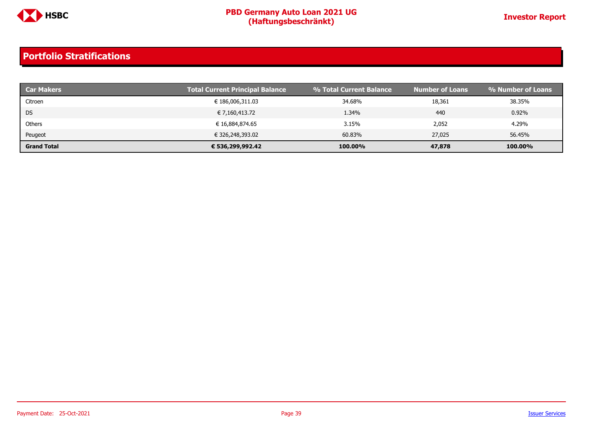

| <b>Car Makers</b>  | <b>Total Current Principal Balance</b> | % Total Current Balance | <b>Number of Loans</b> | <b>Solumber of Loans</b> |
|--------------------|----------------------------------------|-------------------------|------------------------|--------------------------|
| Citroen            | € 186,006,311.03                       | 34.68%                  | 18,361                 | 38.35%                   |
| <b>DS</b>          | € 7,160,413.72                         | 1.34%                   | 440                    | 0.92%                    |
| Others             | € 16,884,874.65                        | 3.15%                   | 2,052                  | 4.29%                    |
| Peugeot            | € 326,248,393.02                       | 60.83%                  | 27,025                 | 56.45%                   |
| <b>Grand Total</b> | € 536,299,992.42                       | 100.00%                 | 47,878                 | 100.00%                  |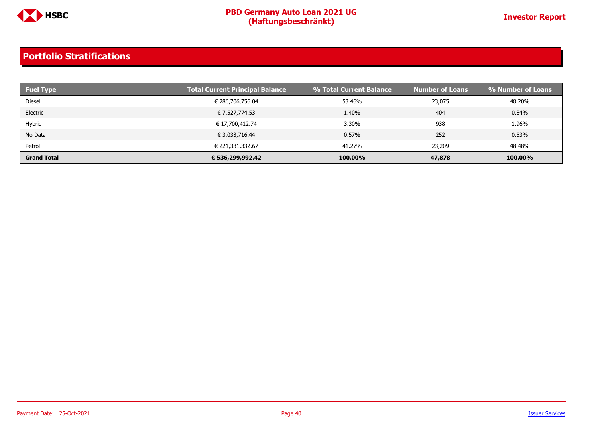

| <b>Fuel Type</b>   | <b>Total Current Principal Balance</b> | % Total Current Balance | <b>Number of Loans</b> | % Number of Loans |
|--------------------|----------------------------------------|-------------------------|------------------------|-------------------|
| Diesel             | € 286,706,756.04                       | 53.46%                  | 23,075                 | 48.20%            |
| Electric           | € 7,527,774.53                         | 1.40%                   | 404                    | 0.84%             |
| Hybrid             | € 17,700,412.74                        | 3.30%                   | 938                    | 1.96%             |
| No Data            | € 3,033,716.44                         | 0.57%                   | 252                    | 0.53%             |
| Petrol             | € 221,331,332.67                       | 41.27%                  | 23,209                 | 48.48%            |
| <b>Grand Total</b> | € 536,299,992.42                       | 100.00%                 | 47,878                 | 100.00%           |